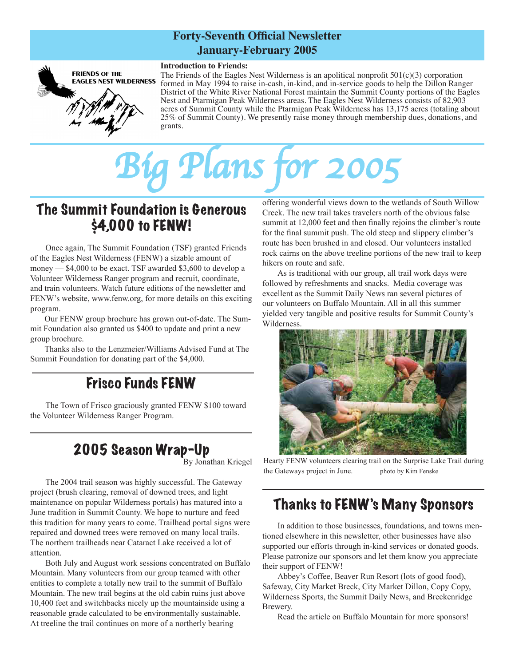### **Forty-Seventh Official Newsletter January-February 2005**



The Friends of the Eagles Nest Wilderness is an apolitical nonprofit  $501(c)(3)$  corporation formed in May 1994 to raise in-cash, in-kind, and in-service goods to help the Dillon Ranger District of the White River National Forest maintain the Summit County portions of the Eagles Nest and Ptarmigan Peak Wilderness areas. The Eagles Nest Wilderness consists of 82,903 acres of Summit County while the Ptarmigan Peak Wilderness has 13,175 acres (totaling about 25% of Summit County). We presently raise money through membership dues, donations, and grants.

# *Big Plans for 2005*

## The Summit Foundation is Generous \$4,000 to FENW!

Once again, The Summit Foundation (TSF) granted Friends of the Eagles Nest Wilderness (FENW) a sizable amount of money — \$4,000 to be exact. TSF awarded \$3,600 to develop a Volunteer Wilderness Ranger program and recruit, coordinate, and train volunteers. Watch future editions of the newsletter and FENW's website, www.fenw.org, for more details on this exciting program.

Our FENW group brochure has grown out-of-date. The Summit Foundation also granted us \$400 to update and print a new group brochure.

Thanks also to the Lenzmeier/Williams Advised Fund at The Summit Foundation for donating part of the \$4,000.

## Frisco Funds FENW

The Town of Frisco graciously granted FENW \$100 toward the Volunteer Wilderness Ranger Program.

## 2005 Season Wrap-Up

By Jonathan Kriegel

The 2004 trail season was highly successful. The Gateway project (brush clearing, removal of downed trees, and light maintenance on popular Wilderness portals) has matured into a June tradition in Summit County. We hope to nurture and feed this tradition for many years to come. Trailhead portal signs were repaired and downed trees were removed on many local trails. The northern trailheads near Cataract Lake received a lot of attention.

Both July and August work sessions concentrated on Buffalo Mountain. Many volunteers from our group teamed with other entities to complete a totally new trail to the summit of Buffalo Mountain. The new trail begins at the old cabin ruins just above 10,400 feet and switchbacks nicely up the mountainside using a reasonable grade calculated to be environmentally sustainable. At treeline the trail continues on more of a northerly bearing

offering wonderful views down to the wetlands of South Willow Creek. The new trail takes travelers north of the obvious false summit at 12,000 feet and then finally rejoins the climber's route for the final summit push. The old steep and slippery climber's route has been brushed in and closed. Our volunteers installed rock cairns on the above treeline portions of the new trail to keep hikers on route and safe.

As is traditional with our group, all trail work days were followed by refreshments and snacks. Media coverage was excellent as the Summit Daily News ran several pictures of our volunteers on Buffalo Mountain. All in all this summer yielded very tangible and positive results for Summit County's Wilderness.



Hearty FENW volunteers clearing trail on the Surprise Lake Trail during the Gateways project in June. photo by Kim Fenske

## Thanks to FENW's Many Sponsors

In addition to those businesses, foundations, and towns mentioned elsewhere in this newsletter, other businesses have also supported our efforts through in-kind services or donated goods. Please patronize our sponsors and let them know you appreciate their support of FENW!

Abbey's Coffee, Beaver Run Resort (lots of good food), Safeway, City Market Breck, City Market Dillon, Copy Copy, Wilderness Sports, the Summit Daily News, and Breckenridge Brewery.

Read the article on Buffalo Mountain for more sponsors!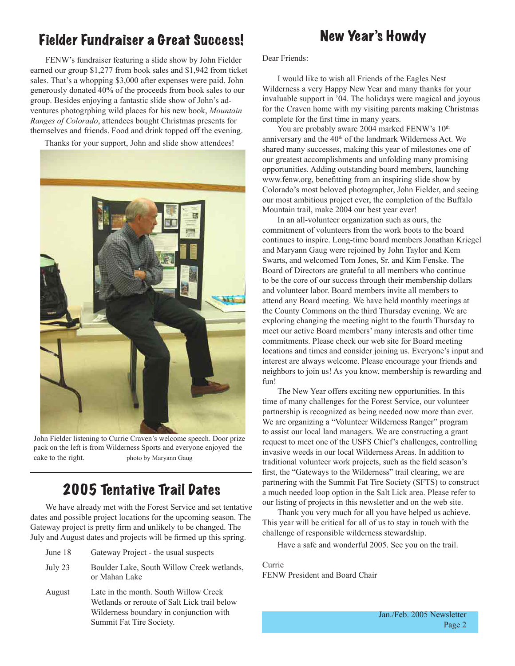## Fielder Fundraiser a Great Success!

## New Year's Howdy

FENW's fundraiser featuring a slide show by John Fielder earned our group \$1,277 from book sales and \$1,942 from ticket sales. That's a whopping \$3,000 after expenses were paid. John generously donated 40% of the proceeds from book sales to our group. Besides enjoying a fantastic slide show of John's adventures photogrphing wild places for his new book, *Mountain Ranges of Colorado*, attendees bought Christmas presents for themselves and friends. Food and drink topped off the evening.

Thanks for your support, John and slide show attendees!



John Fielder listening to Currie Craven's welcome speech. Door prize pack on the left is from Wilderness Sports and everyone enjoyed the cake to the right. photo by Maryann Gaug

## 2005 Tentative Trail Dates

We have already met with the Forest Service and set tentative dates and possible project locations for the upcoming season. The Gateway project is pretty firm and unlikely to be changed. The July and August dates and projects will be firmed up this spring.

- June 18 Gateway Project the usual suspects
- July 23 Boulder Lake, South Willow Creek wetlands, or Mahan Lake
- August Late in the month. South Willow Creek Wetlands or reroute of Salt Lick trail below Wilderness boundary in conjunction with Summit Fat Tire Society.

Dear Friends:

I would like to wish all Friends of the Eagles Nest Wilderness a very Happy New Year and many thanks for your invaluable support in '04. The holidays were magical and joyous for the Craven home with my visiting parents making Christmas complete for the first time in many years.

You are probably aware 2004 marked FENW's  $10<sup>th</sup>$ anniversary and the 40<sup>th</sup> of the landmark Wilderness Act. We shared many successes, making this year of milestones one of our greatest accomplishments and unfolding many promising opportunities. Adding outstanding board members, launching www.fenw.org, benefitting from an inspiring slide show by Colorado's most beloved photographer, John Fielder, and seeing our most ambitious project ever, the completion of the Buffalo Mountain trail, make 2004 our best year ever!

In an all-volunteer organization such as ours, the commitment of volunteers from the work boots to the board continues to inspire. Long-time board members Jonathan Kriegel and Maryann Gaug were rejoined by John Taylor and Kem Swarts, and welcomed Tom Jones, Sr. and Kim Fenske. The Board of Directors are grateful to all members who continue to be the core of our success through their membership dollars and volunteer labor. Board members invite all members to attend any Board meeting. We have held monthly meetings at the County Commons on the third Thursday evening. We are exploring changing the meeting night to the fourth Thursday to meet our active Board members' many interests and other time commitments. Please check our web site for Board meeting locations and times and consider joining us. Everyone's input and interest are always welcome. Please encourage your friends and neighbors to join us! As you know, membership is rewarding and fun!

The New Year offers exciting new opportunities. In this time of many challenges for the Forest Service, our volunteer partnership is recognized as being needed now more than ever. We are organizing a "Volunteer Wilderness Ranger" program to assist our local land managers. We are constructing a grant request to meet one of the USFS Chief's challenges, controlling invasive weeds in our local Wilderness Areas. In addition to traditional volunteer work projects, such as the field season's first, the "Gateways to the Wilderness" trail clearing, we are partnering with the Summit Fat Tire Society (SFTS) to construct a much needed loop option in the Salt Lick area. Please refer to our listing of projects in this newsletter and on the web site.

Thank you very much for all you have helped us achieve. This year will be critical for all of us to stay in touch with the challenge of responsible wilderness stewardship.

Have a safe and wonderful 2005. See you on the trail.

Currie FENW President and Board Chair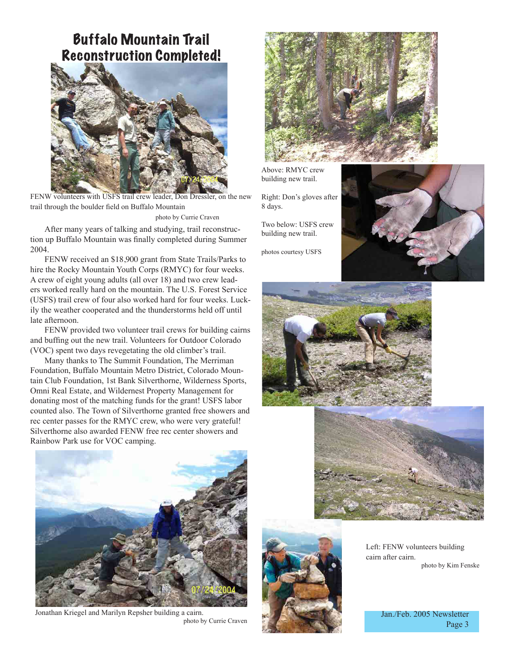## Buffalo Mountain Trail Reconstruction Completed!



FENW volunteers with USFS trail crew leader, Don Dressler, on the new trail through the boulder field on Buffalo Mountain

photo by Currie Craven

After many years of talking and studying, trail reconstruction up Buffalo Mountain was finally completed during Summer 2004.

FENW received an \$18,900 grant from State Trails/Parks to hire the Rocky Mountain Youth Corps (RMYC) for four weeks. A crew of eight young adults (all over 18) and two crew leaders worked really hard on the mountain. The U.S. Forest Service (USFS) trail crew of four also worked hard for four weeks. Luckily the weather cooperated and the thunderstorms held off until late afternoon.

FENW provided two volunteer trail crews for building cairns and buffing out the new trail. Volunteers for Outdoor Colorado (VOC) spent two days revegetating the old climber's trail.

Many thanks to The Summit Foundation, The Merriman Foundation, Buffalo Mountain Metro District, Colorado Mountain Club Foundation, 1st Bank Silverthorne, Wilderness Sports, Omni Real Estate, and Wildernest Property Management for donating most of the matching funds for the grant! USFS labor counted also. The Town of Silverthorne granted free showers and rec center passes for the RMYC crew, who were very grateful! Silverthorne also awarded FENW free rec center showers and Rainbow Park use for VOC camping.



Above: RMYC crew building new trail.

Right: Don's gloves after 8 days.

Two below: USFS crew building new trail.

photos courtesy USFS







Left: FENW volunteers building cairn after cairn. photo by Kim Fenske

> Jan./Feb. 2005 Newsletter Page 3



Jonathan Kriegel and Marilyn Repsher building a cairn. photo by Currie Craven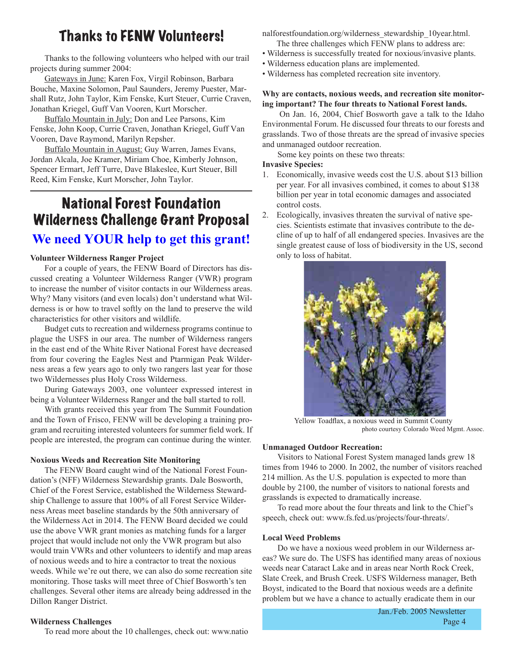## Thanks to FENW Volunteers!

Thanks to the following volunteers who helped with our trail projects during summer 2004:

Gateways in June: Karen Fox, Virgil Robinson, Barbara Bouche, Maxine Solomon, Paul Saunders, Jeremy Puester, Marshall Rutz, John Taylor, Kim Fenske, Kurt Steuer, Currie Craven, Jonathan Kriegel, Guff Van Vooren, Kurt Morscher.

Buffalo Mountain in July: Don and Lee Parsons, Kim Fenske, John Koop, Currie Craven, Jonathan Kriegel, Guff Van Vooren, Dave Raymond, Marilyn Repsher.

Buffalo Mountain in August: Guy Warren, James Evans, Jordan Alcala, Joe Kramer, Miriam Choe, Kimberly Johnson, Spencer Ermart, Jeff Turre, Dave Blakeslee, Kurt Steuer, Bill Reed, Kim Fenske, Kurt Morscher, John Taylor.

## National Forest Foundation Wilderness Challenge Grant Proposal **We need YOUR help to get this grant!**

#### **Volunteer Wilderness Ranger Project**

For a couple of years, the FENW Board of Directors has discussed creating a Volunteer Wilderness Ranger (VWR) program to increase the number of visitor contacts in our Wilderness areas. Why? Many visitors (and even locals) don't understand what Wilderness is or how to travel softly on the land to preserve the wild characteristics for other visitors and wildlife.

Budget cuts to recreation and wilderness programs continue to plague the USFS in our area. The number of Wilderness rangers in the east end of the White River National Forest have decreased from four covering the Eagles Nest and Ptarmigan Peak Wilderness areas a few years ago to only two rangers last year for those two Wildernesses plus Holy Cross Wilderness.

During Gateways 2003, one volunteer expressed interest in being a Volunteer Wilderness Ranger and the ball started to roll.

With grants received this year from The Summit Foundation and the Town of Frisco, FENW will be developing a training program and recruiting interested volunteers for summer field work. If people are interested, the program can continue during the winter.

#### **Noxious Weeds and Recreation Site Monitoring**

The FENW Board caught wind of the National Forest Foundation's (NFF) Wilderness Stewardship grants. Dale Bosworth, Chief of the Forest Service, established the Wilderness Stewardship Challenge to assure that 100% of all Forest Service Wilderness Areas meet baseline standards by the 50th anniversary of the Wilderness Act in 2014. The FENW Board decided we could use the above VWR grant monies as matching funds for a larger project that would include not only the VWR program but also would train VWRs and other volunteers to identify and map areas of noxious weeds and to hire a contractor to treat the noxious weeds. While we're out there, we can also do some recreation site monitoring. Those tasks will meet three of Chief Bosworth's ten challenges. Several other items are already being addressed in the Dillon Ranger District.

#### **Wilderness Challenges**

To read more about the 10 challenges, check out: www.natio

nalforestfoundation.org/wilderness\_stewardship\_10year.html.

- The three challenges which FENW plans to address are:
- Wilderness is successfully treated for noxious/invasive plants.
- Wilderness education plans are implemented.
- Wilderness has completed recreation site inventory.

#### **Why are contacts, noxious weeds, and recreation site monitoring important? The four threats to National Forest lands.**

 On Jan. 16, 2004, Chief Bosworth gave a talk to the Idaho Environmental Forum. He discussed four threats to our forests and grasslands. Two of those threats are the spread of invasive species and unmanaged outdoor recreation.

Some key points on these two threats:

#### **Invasive Species:**

- 1. Economically, invasive weeds cost the U.S. about \$13 billion per year. For all invasives combined, it comes to about \$138 billion per year in total economic damages and associated control costs.
- 2. Ecologically, invasives threaten the survival of native species. Scientists estimate that invasives contribute to the decline of up to half of all endangered species. Invasives are the single greatest cause of loss of biodiversity in the US, second only to loss of habitat.



Yellow Toadflax, a noxious weed in Summit County photo courtesy Colorado Weed Mgmt. Assoc.

#### **Unmanaged Outdoor Recreation:**

Visitors to National Forest System managed lands grew 18 times from 1946 to 2000. In 2002, the number of visitors reached 214 million. As the U.S. population is expected to more than double by 2100, the number of visitors to national forests and grasslands is expected to dramatically increase.

To read more about the four threats and link to the Chief's speech, check out: www.fs.fed.us/projects/four-threats/.

#### **Local Weed Problems**

Do we have a noxious weed problem in our Wilderness areas? We sure do. The USFS has identified many areas of noxious weeds near Cataract Lake and in areas near North Rock Creek, Slate Creek, and Brush Creek. USFS Wilderness manager, Beth Boyst, indicated to the Board that noxious weeds are a definite problem but we have a chance to actually eradicate them in our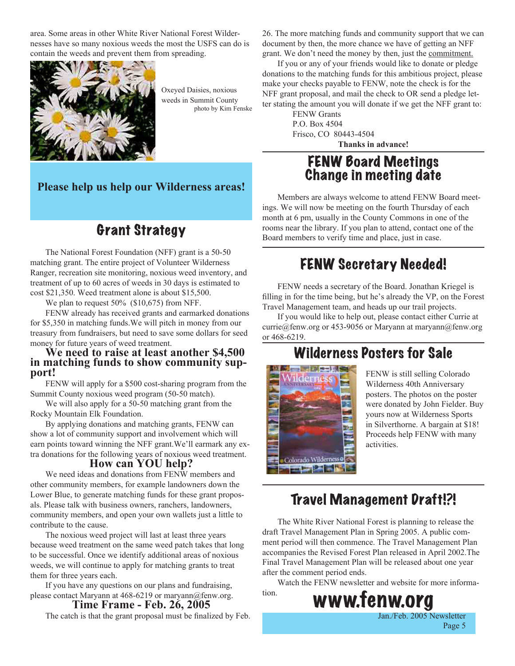area. Some areas in other White River National Forest Wildernesses have so many noxious weeds the most the USFS can do is contain the weeds and prevent them from spreading.



Oxeyed Daisies, noxious weeds in Summit County photo by Kim Fenske

**Please help us help our Wilderness areas!**

## Grant Strategy

The National Forest Foundation (NFF) grant is a 50-50 matching grant. The entire project of Volunteer Wilderness Ranger, recreation site monitoring, noxious weed inventory, and treatment of up to 60 acres of weeds in 30 days is estimated to cost \$21,350. Weed treatment alone is about \$15,500.

We plan to request 50% (\$10,675) from NFF.

FENW already has received grants and earmarked donations for \$5,350 in matching funds.We will pitch in money from our treasury from fundraisers, but need to save some dollars for seed money for future years of weed treatment.

## **We need to raise at least another \$4,500 in matching funds to show community sup- port!**

FENW will apply for a \$500 cost-sharing program from the Summit County noxious weed program (50-50 match).

We will also apply for a 50-50 matching grant from the Rocky Mountain Elk Foundation.

By applying donations and matching grants, FENW can show a lot of community support and involvement which will earn points toward winning the NFF grant.We'll earmark any extra donations for the following years of noxious weed treatment.

#### **How can YOU help?**

We need ideas and donations from FENW members and other community members, for example landowners down the Lower Blue, to generate matching funds for these grant proposals. Please talk with business owners, ranchers, landowners, community members, and open your own wallets just a little to contribute to the cause.

The noxious weed project will last at least three years because weed treatment on the same weed patch takes that long to be successful. Once we identify additional areas of noxious weeds, we will continue to apply for matching grants to treat them for three years each.

If you have any questions on our plans and fundraising, please contact Maryann at 468-6219 or maryann@fenw.org.

#### **Time Frame - Feb. 26, 2005**

The catch is that the grant proposal must be finalized by Feb.

26. The more matching funds and community support that we can document by then, the more chance we have of getting an NFF grant. We don't need the money by then, just the commitment.

If you or any of your friends would like to donate or pledge donations to the matching funds for this ambitious project, please make your checks payable to FENW, note the check is for the NFF grant proposal, and mail the check to OR send a pledge letter stating the amount you will donate if we get the NFF grant to:

FENW Grants P.O. Box 4504 Frisco, CO 80443-4504 **Thanks in advance!**

## FENW Board Meetings Change in meeting date

Members are always welcome to attend FENW Board meetings. We will now be meeting on the fourth Thursday of each month at 6 pm, usually in the County Commons in one of the rooms near the library. If you plan to attend, contact one of the Board members to verify time and place, just in case.

## FENW Secretary Needed!

FENW needs a secretary of the Board. Jonathan Kriegel is filling in for the time being, but he's already the VP, on the Forest Travel Management team, and heads up our trail projects.

If you would like to help out, please contact either Currie at currie@fenw.org or 453-9056 or Maryann at maryann@fenw.org or 468-6219.

## Wilderness Posters for Sale



FENW is still selling Colorado Wilderness 40th Anniversary posters. The photos on the poster were donated by John Fielder. Buy yours now at Wilderness Sports in Silverthorne. A bargain at \$18! Proceeds help FENW with many activities.

Page 5

## Travel Management Draft!?!

The White River National Forest is planning to release the draft Travel Management Plan in Spring 2005. A public comment period will then commence. The Travel Management Plan accompanies the Revised Forest Plan released in April 2002.The Final Travel Management Plan will be released about one year after the comment period ends.

Watch the FENW newsletter and website for more informa-